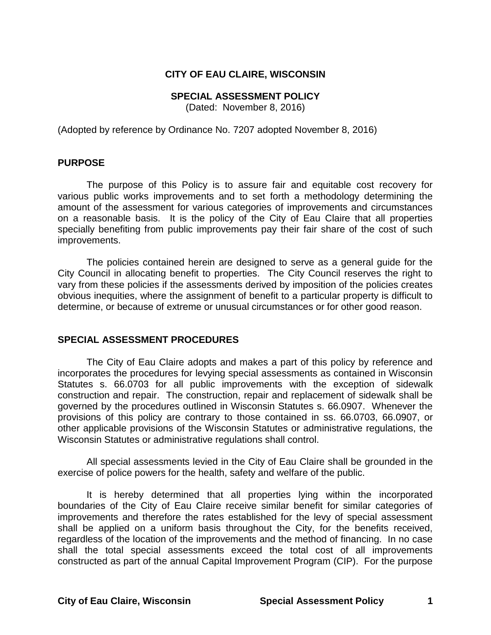### **CITY OF EAU CLAIRE, WISCONSIN**

#### **SPECIAL ASSESSMENT POLICY**

(Dated: November 8, 2016)

(Adopted by reference by Ordinance No. 7207 adopted November 8, 2016)

#### **PURPOSE**

The purpose of this Policy is to assure fair and equitable cost recovery for various public works improvements and to set forth a methodology determining the amount of the assessment for various categories of improvements and circumstances on a reasonable basis. It is the policy of the City of Eau Claire that all properties specially benefiting from public improvements pay their fair share of the cost of such improvements.

The policies contained herein are designed to serve as a general guide for the City Council in allocating benefit to properties. The City Council reserves the right to vary from these policies if the assessments derived by imposition of the policies creates obvious inequities, where the assignment of benefit to a particular property is difficult to determine, or because of extreme or unusual circumstances or for other good reason.

#### **SPECIAL ASSESSMENT PROCEDURES**

The City of Eau Claire adopts and makes a part of this policy by reference and incorporates the procedures for levying special assessments as contained in Wisconsin Statutes s. 66.0703 for all public improvements with the exception of sidewalk construction and repair. The construction, repair and replacement of sidewalk shall be governed by the procedures outlined in Wisconsin Statutes s. 66.0907. Whenever the provisions of this policy are contrary to those contained in ss. 66.0703, 66.0907, or other applicable provisions of the Wisconsin Statutes or administrative regulations, the Wisconsin Statutes or administrative regulations shall control.

All special assessments levied in the City of Eau Claire shall be grounded in the exercise of police powers for the health, safety and welfare of the public.

It is hereby determined that all properties lying within the incorporated boundaries of the City of Eau Claire receive similar benefit for similar categories of improvements and therefore the rates established for the levy of special assessment shall be applied on a uniform basis throughout the City, for the benefits received, regardless of the location of the improvements and the method of financing. In no case shall the total special assessments exceed the total cost of all improvements constructed as part of the annual Capital Improvement Program (CIP). For the purpose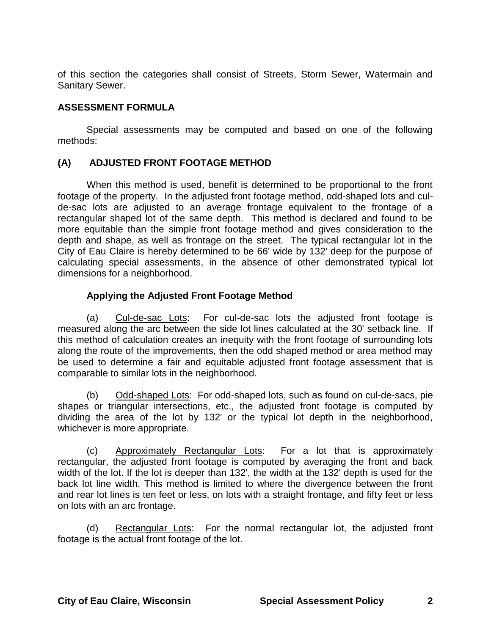of this section the categories shall consist of Streets, Storm Sewer, Watermain and Sanitary Sewer.

## **ASSESSMENT FORMULA**

Special assessments may be computed and based on one of the following methods:

## **(A) ADJUSTED FRONT FOOTAGE METHOD**

When this method is used, benefit is determined to be proportional to the front footage of the property. In the adjusted front footage method, odd-shaped lots and culde-sac lots are adjusted to an average frontage equivalent to the frontage of a rectangular shaped lot of the same depth. This method is declared and found to be more equitable than the simple front footage method and gives consideration to the depth and shape, as well as frontage on the street. The typical rectangular lot in the City of Eau Claire is hereby determined to be 66' wide by 132' deep for the purpose of calculating special assessments, in the absence of other demonstrated typical lot dimensions for a neighborhood.

## **Applying the Adjusted Front Footage Method**

(a) Cul-de-sac Lots: For cul-de-sac lots the adjusted front footage is measured along the arc between the side lot lines calculated at the 30' setback line. If this method of calculation creates an inequity with the front footage of surrounding lots along the route of the improvements, then the odd shaped method or area method may be used to determine a fair and equitable adjusted front footage assessment that is comparable to similar lots in the neighborhood.

(b) Odd-shaped Lots: For odd-shaped lots, such as found on cul-de-sacs, pie shapes or triangular intersections, etc., the adjusted front footage is computed by dividing the area of the lot by 132' or the typical lot depth in the neighborhood, whichever is more appropriate.

(c) Approximately Rectangular Lots: For a lot that is approximately rectangular, the adjusted front footage is computed by averaging the front and back width of the lot. If the lot is deeper than 132', the width at the 132' depth is used for the back lot line width. This method is limited to where the divergence between the front and rear lot lines is ten feet or less, on lots with a straight frontage, and fifty feet or less on lots with an arc frontage.

(d) Rectangular Lots: For the normal rectangular lot, the adjusted front footage is the actual front footage of the lot.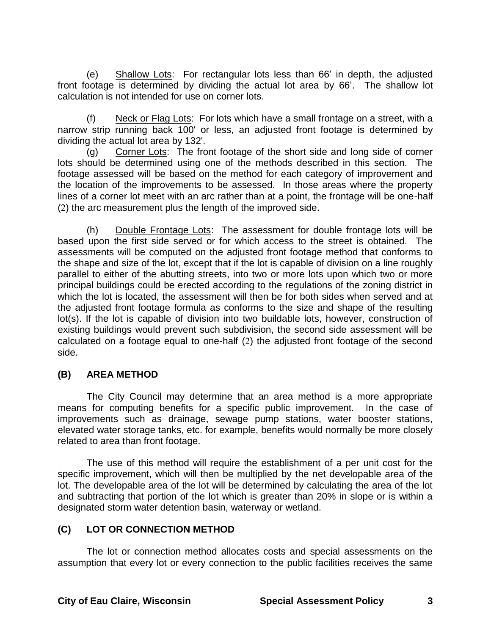(e) Shallow Lots: For rectangular lots less than 66' in depth, the adjusted front footage is determined by dividing the actual lot area by 66'. The shallow lot calculation is not intended for use on corner lots.

(f) Neck or Flag Lots: For lots which have a small frontage on a street, with a narrow strip running back 100' or less, an adjusted front footage is determined by dividing the actual lot area by 132'.

(g) Corner Lots: The front footage of the short side and long side of corner lots should be determined using one of the methods described in this section. The footage assessed will be based on the method for each category of improvement and the location of the improvements to be assessed. In those areas where the property lines of a corner lot meet with an arc rather than at a point, the frontage will be one-half  $(2)$  the arc measurement plus the length of the improved side.

(h) Double Frontage Lots: The assessment for double frontage lots will be based upon the first side served or for which access to the street is obtained. The assessments will be computed on the adjusted front footage method that conforms to the shape and size of the lot, except that if the lot is capable of division on a line roughly parallel to either of the abutting streets, into two or more lots upon which two or more principal buildings could be erected according to the regulations of the zoning district in which the lot is located, the assessment will then be for both sides when served and at the adjusted front footage formula as conforms to the size and shape of the resulting lot(s). If the lot is capable of division into two buildable lots, however, construction of existing buildings would prevent such subdivision, the second side assessment will be calculated on a footage equal to one-half  $(2)$  the adjusted front footage of the second side.

# **(B) AREA METHOD**

The City Council may determine that an area method is a more appropriate means for computing benefits for a specific public improvement. In the case of improvements such as drainage, sewage pump stations, water booster stations, elevated water storage tanks, etc. for example, benefits would normally be more closely related to area than front footage.

The use of this method will require the establishment of a per unit cost for the specific improvement, which will then be multiplied by the net developable area of the lot. The developable area of the lot will be determined by calculating the area of the lot and subtracting that portion of the lot which is greater than 20% in slope or is within a designated storm water detention basin, waterway or wetland.

# **(C) LOT OR CONNECTION METHOD**

The lot or connection method allocates costs and special assessments on the assumption that every lot or every connection to the public facilities receives the same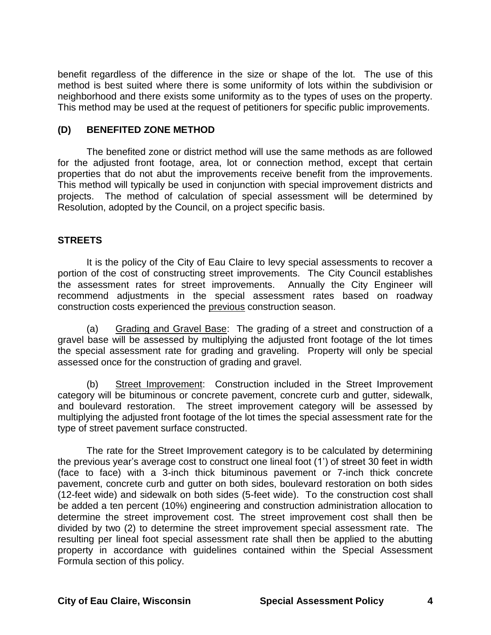benefit regardless of the difference in the size or shape of the lot. The use of this method is best suited where there is some uniformity of lots within the subdivision or neighborhood and there exists some uniformity as to the types of uses on the property. This method may be used at the request of petitioners for specific public improvements.

## **(D) BENEFITED ZONE METHOD**

The benefited zone or district method will use the same methods as are followed for the adjusted front footage, area, lot or connection method, except that certain properties that do not abut the improvements receive benefit from the improvements. This method will typically be used in conjunction with special improvement districts and projects. The method of calculation of special assessment will be determined by Resolution, adopted by the Council, on a project specific basis.

## **STREETS**

It is the policy of the City of Eau Claire to levy special assessments to recover a portion of the cost of constructing street improvements. The City Council establishes the assessment rates for street improvements. Annually the City Engineer will recommend adjustments in the special assessment rates based on roadway construction costs experienced the previous construction season.

(a) Grading and Gravel Base: The grading of a street and construction of a gravel base will be assessed by multiplying the adjusted front footage of the lot times the special assessment rate for grading and graveling. Property will only be special assessed once for the construction of grading and gravel.

(b) Street Improvement: Construction included in the Street Improvement category will be bituminous or concrete pavement, concrete curb and gutter, sidewalk, and boulevard restoration. The street improvement category will be assessed by multiplying the adjusted front footage of the lot times the special assessment rate for the type of street pavement surface constructed.

The rate for the Street Improvement category is to be calculated by determining the previous year's average cost to construct one lineal foot (1') of street 30 feet in width (face to face) with a 3-inch thick bituminous pavement or 7-inch thick concrete pavement, concrete curb and gutter on both sides, boulevard restoration on both sides (12-feet wide) and sidewalk on both sides (5-feet wide). To the construction cost shall be added a ten percent (10%) engineering and construction administration allocation to determine the street improvement cost. The street improvement cost shall then be divided by two (2) to determine the street improvement special assessment rate. The resulting per lineal foot special assessment rate shall then be applied to the abutting property in accordance with guidelines contained within the Special Assessment Formula section of this policy.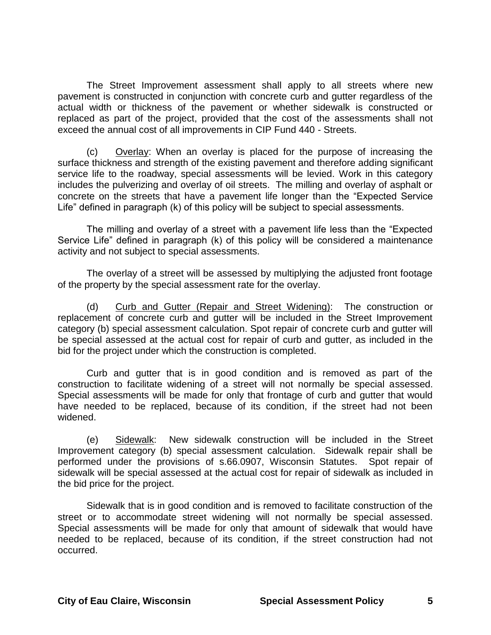The Street Improvement assessment shall apply to all streets where new pavement is constructed in conjunction with concrete curb and gutter regardless of the actual width or thickness of the pavement or whether sidewalk is constructed or replaced as part of the project, provided that the cost of the assessments shall not exceed the annual cost of all improvements in CIP Fund 440 - Streets.

(c) Overlay: When an overlay is placed for the purpose of increasing the surface thickness and strength of the existing pavement and therefore adding significant service life to the roadway, special assessments will be levied. Work in this category includes the pulverizing and overlay of oil streets. The milling and overlay of asphalt or concrete on the streets that have a pavement life longer than the "Expected Service Life" defined in paragraph (k) of this policy will be subject to special assessments.

The milling and overlay of a street with a pavement life less than the "Expected Service Life" defined in paragraph (k) of this policy will be considered a maintenance activity and not subject to special assessments.

The overlay of a street will be assessed by multiplying the adjusted front footage of the property by the special assessment rate for the overlay.

(d) Curb and Gutter (Repair and Street Widening): The construction or replacement of concrete curb and gutter will be included in the Street Improvement category (b) special assessment calculation. Spot repair of concrete curb and gutter will be special assessed at the actual cost for repair of curb and gutter, as included in the bid for the project under which the construction is completed.

Curb and gutter that is in good condition and is removed as part of the construction to facilitate widening of a street will not normally be special assessed. Special assessments will be made for only that frontage of curb and gutter that would have needed to be replaced, because of its condition, if the street had not been widened.

(e) Sidewalk: New sidewalk construction will be included in the Street Improvement category (b) special assessment calculation. Sidewalk repair shall be performed under the provisions of s.66.0907, Wisconsin Statutes. Spot repair of sidewalk will be special assessed at the actual cost for repair of sidewalk as included in the bid price for the project.

Sidewalk that is in good condition and is removed to facilitate construction of the street or to accommodate street widening will not normally be special assessed. Special assessments will be made for only that amount of sidewalk that would have needed to be replaced, because of its condition, if the street construction had not occurred.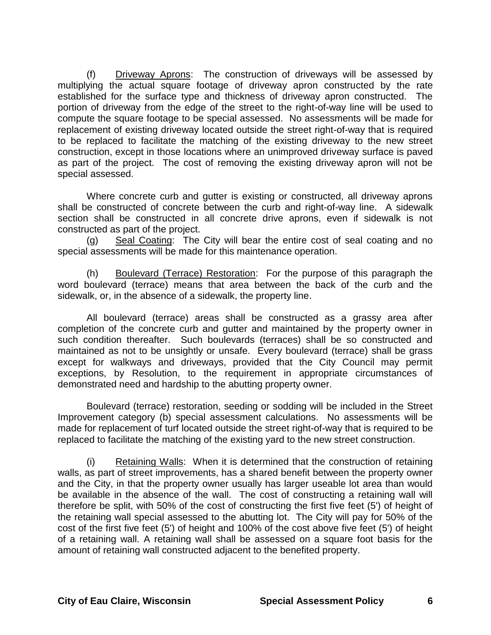(f) Driveway Aprons: The construction of driveways will be assessed by multiplying the actual square footage of driveway apron constructed by the rate established for the surface type and thickness of driveway apron constructed. The portion of driveway from the edge of the street to the right-of-way line will be used to compute the square footage to be special assessed. No assessments will be made for replacement of existing driveway located outside the street right-of-way that is required to be replaced to facilitate the matching of the existing driveway to the new street construction, except in those locations where an unimproved driveway surface is paved as part of the project. The cost of removing the existing driveway apron will not be special assessed.

Where concrete curb and gutter is existing or constructed, all driveway aprons shall be constructed of concrete between the curb and right-of-way line. A sidewalk section shall be constructed in all concrete drive aprons, even if sidewalk is not constructed as part of the project.

(g) Seal Coating: The City will bear the entire cost of seal coating and no special assessments will be made for this maintenance operation.

(h) Boulevard (Terrace) Restoration: For the purpose of this paragraph the word boulevard (terrace) means that area between the back of the curb and the sidewalk, or, in the absence of a sidewalk, the property line.

All boulevard (terrace) areas shall be constructed as a grassy area after completion of the concrete curb and gutter and maintained by the property owner in such condition thereafter. Such boulevards (terraces) shall be so constructed and maintained as not to be unsightly or unsafe. Every boulevard (terrace) shall be grass except for walkways and driveways, provided that the City Council may permit exceptions, by Resolution, to the requirement in appropriate circumstances of demonstrated need and hardship to the abutting property owner.

Boulevard (terrace) restoration, seeding or sodding will be included in the Street Improvement category (b) special assessment calculations. No assessments will be made for replacement of turf located outside the street right-of-way that is required to be replaced to facilitate the matching of the existing yard to the new street construction.

(i) Retaining Walls: When it is determined that the construction of retaining walls, as part of street improvements, has a shared benefit between the property owner and the City, in that the property owner usually has larger useable lot area than would be available in the absence of the wall. The cost of constructing a retaining wall will therefore be split, with 50% of the cost of constructing the first five feet (5') of height of the retaining wall special assessed to the abutting lot. The City will pay for 50% of the cost of the first five feet (5') of height and 100% of the cost above five feet (5') of height of a retaining wall. A retaining wall shall be assessed on a square foot basis for the amount of retaining wall constructed adjacent to the benefited property.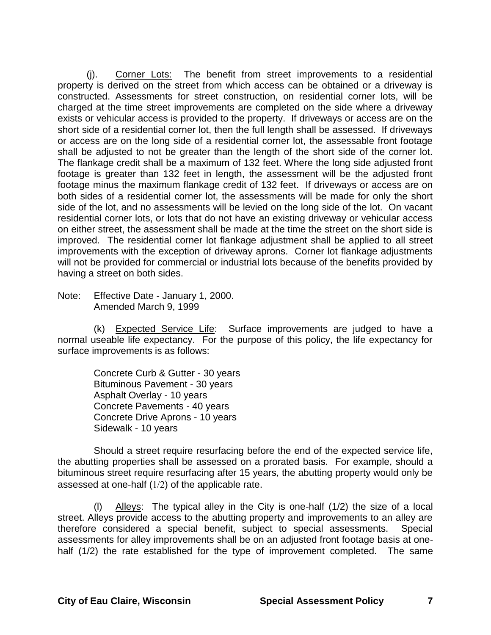(j). Corner Lots: The benefit from street improvements to a residential property is derived on the street from which access can be obtained or a driveway is constructed. Assessments for street construction, on residential corner lots, will be charged at the time street improvements are completed on the side where a driveway exists or vehicular access is provided to the property. If driveways or access are on the short side of a residential corner lot, then the full length shall be assessed. If driveways or access are on the long side of a residential corner lot, the assessable front footage shall be adjusted to not be greater than the length of the short side of the corner lot. The flankage credit shall be a maximum of 132 feet. Where the long side adjusted front footage is greater than 132 feet in length, the assessment will be the adjusted front footage minus the maximum flankage credit of 132 feet. If driveways or access are on both sides of a residential corner lot, the assessments will be made for only the short side of the lot, and no assessments will be levied on the long side of the lot. On vacant residential corner lots, or lots that do not have an existing driveway or vehicular access on either street, the assessment shall be made at the time the street on the short side is improved. The residential corner lot flankage adjustment shall be applied to all street improvements with the exception of driveway aprons. Corner lot flankage adjustments will not be provided for commercial or industrial lots because of the benefits provided by having a street on both sides.

Note: Effective Date - January 1, 2000. Amended March 9, 1999

(k) Expected Service Life: Surface improvements are judged to have a normal useable life expectancy. For the purpose of this policy, the life expectancy for surface improvements is as follows:

Concrete Curb & Gutter - 30 years Bituminous Pavement - 30 years Asphalt Overlay - 10 years Concrete Pavements - 40 years Concrete Drive Aprons - 10 years Sidewalk - 10 years

Should a street require resurfacing before the end of the expected service life, the abutting properties shall be assessed on a prorated basis. For example, should a bituminous street require resurfacing after 15 years, the abutting property would only be assessed at one-half  $(1/2)$  of the applicable rate.

(I) Alleys: The typical alley in the City is one-half  $(1/2)$  the size of a local street. Alleys provide access to the abutting property and improvements to an alley are therefore considered a special benefit, subject to special assessments. Special assessments for alley improvements shall be on an adjusted front footage basis at onehalf (1/2) the rate established for the type of improvement completed. The same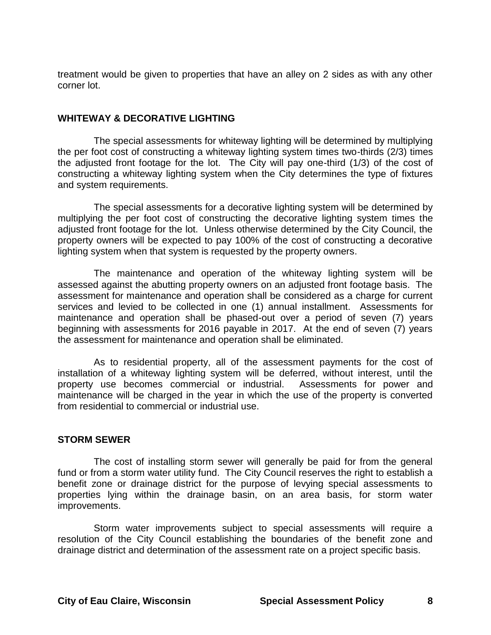treatment would be given to properties that have an alley on 2 sides as with any other corner lot.

### **WHITEWAY & DECORATIVE LIGHTING**

The special assessments for whiteway lighting will be determined by multiplying the per foot cost of constructing a whiteway lighting system times two-thirds (2/3) times the adjusted front footage for the lot. The City will pay one-third (1/3) of the cost of constructing a whiteway lighting system when the City determines the type of fixtures and system requirements.

The special assessments for a decorative lighting system will be determined by multiplying the per foot cost of constructing the decorative lighting system times the adjusted front footage for the lot. Unless otherwise determined by the City Council, the property owners will be expected to pay 100% of the cost of constructing a decorative lighting system when that system is requested by the property owners.

The maintenance and operation of the whiteway lighting system will be assessed against the abutting property owners on an adjusted front footage basis. The assessment for maintenance and operation shall be considered as a charge for current services and levied to be collected in one (1) annual installment. Assessments for maintenance and operation shall be phased-out over a period of seven (7) years beginning with assessments for 2016 payable in 2017. At the end of seven (7) years the assessment for maintenance and operation shall be eliminated.

As to residential property, all of the assessment payments for the cost of installation of a whiteway lighting system will be deferred, without interest, until the property use becomes commercial or industrial. Assessments for power and maintenance will be charged in the year in which the use of the property is converted from residential to commercial or industrial use.

#### **STORM SEWER**

The cost of installing storm sewer will generally be paid for from the general fund or from a storm water utility fund. The City Council reserves the right to establish a benefit zone or drainage district for the purpose of levying special assessments to properties lying within the drainage basin, on an area basis, for storm water improvements.

Storm water improvements subject to special assessments will require a resolution of the City Council establishing the boundaries of the benefit zone and drainage district and determination of the assessment rate on a project specific basis.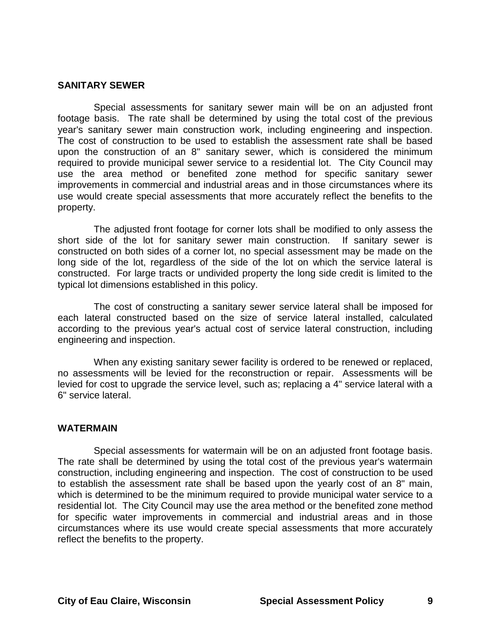#### **SANITARY SEWER**

Special assessments for sanitary sewer main will be on an adjusted front footage basis. The rate shall be determined by using the total cost of the previous year's sanitary sewer main construction work, including engineering and inspection. The cost of construction to be used to establish the assessment rate shall be based upon the construction of an 8" sanitary sewer, which is considered the minimum required to provide municipal sewer service to a residential lot. The City Council may use the area method or benefited zone method for specific sanitary sewer improvements in commercial and industrial areas and in those circumstances where its use would create special assessments that more accurately reflect the benefits to the property.

The adjusted front footage for corner lots shall be modified to only assess the short side of the lot for sanitary sewer main construction. If sanitary sewer is constructed on both sides of a corner lot, no special assessment may be made on the long side of the lot, regardless of the side of the lot on which the service lateral is constructed. For large tracts or undivided property the long side credit is limited to the typical lot dimensions established in this policy.

The cost of constructing a sanitary sewer service lateral shall be imposed for each lateral constructed based on the size of service lateral installed, calculated according to the previous year's actual cost of service lateral construction, including engineering and inspection.

When any existing sanitary sewer facility is ordered to be renewed or replaced, no assessments will be levied for the reconstruction or repair. Assessments will be levied for cost to upgrade the service level, such as; replacing a 4" service lateral with a 6" service lateral.

#### **WATERMAIN**

Special assessments for watermain will be on an adjusted front footage basis. The rate shall be determined by using the total cost of the previous year's watermain construction, including engineering and inspection. The cost of construction to be used to establish the assessment rate shall be based upon the yearly cost of an 8" main, which is determined to be the minimum required to provide municipal water service to a residential lot. The City Council may use the area method or the benefited zone method for specific water improvements in commercial and industrial areas and in those circumstances where its use would create special assessments that more accurately reflect the benefits to the property.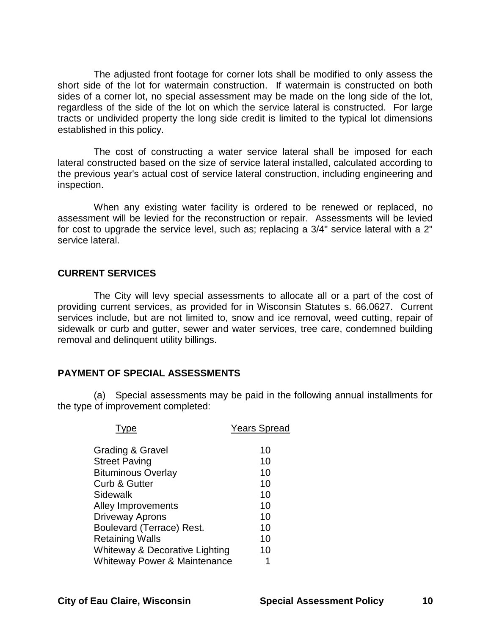The adjusted front footage for corner lots shall be modified to only assess the short side of the lot for watermain construction. If watermain is constructed on both sides of a corner lot, no special assessment may be made on the long side of the lot, regardless of the side of the lot on which the service lateral is constructed. For large tracts or undivided property the long side credit is limited to the typical lot dimensions established in this policy.

The cost of constructing a water service lateral shall be imposed for each lateral constructed based on the size of service lateral installed, calculated according to the previous year's actual cost of service lateral construction, including engineering and inspection.

When any existing water facility is ordered to be renewed or replaced, no assessment will be levied for the reconstruction or repair. Assessments will be levied for cost to upgrade the service level, such as; replacing a 3/4" service lateral with a 2" service lateral.

### **CURRENT SERVICES**

The City will levy special assessments to allocate all or a part of the cost of providing current services, as provided for in Wisconsin Statutes s. 66.0627. Current services include, but are not limited to, snow and ice removal, weed cutting, repair of sidewalk or curb and gutter, sewer and water services, tree care, condemned building removal and delinquent utility billings.

#### **PAYMENT OF SPECIAL ASSESSMENTS**

(a) Special assessments may be paid in the following annual installments for the type of improvement completed:

|                                         | <b>Years Spread</b> |
|-----------------------------------------|---------------------|
| Grading & Gravel                        | 10                  |
| <b>Street Paving</b>                    | 10                  |
| <b>Bituminous Overlay</b>               | 10                  |
| Curb & Gutter                           | 10                  |
| Sidewalk                                | 10                  |
| Alley Improvements                      | 10                  |
| <b>Driveway Aprons</b>                  | 10                  |
| <b>Boulevard (Terrace) Rest.</b>        | 10                  |
| <b>Retaining Walls</b>                  | 10                  |
| Whiteway & Decorative Lighting          | 10                  |
| <b>Whiteway Power &amp; Maintenance</b> | 1                   |
|                                         |                     |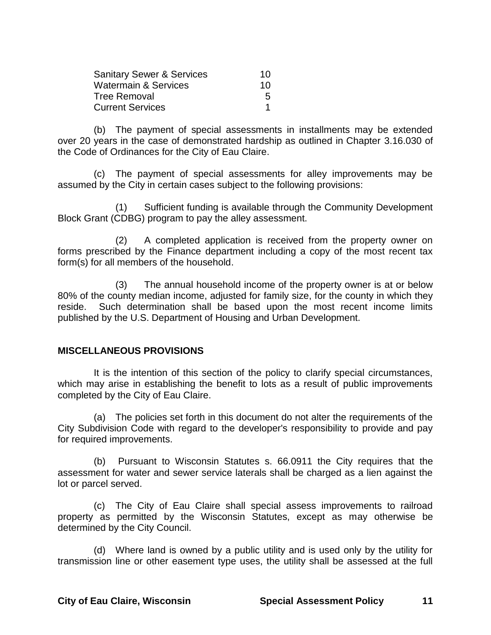| <b>Sanitary Sewer &amp; Services</b> | 10 |
|--------------------------------------|----|
| Watermain & Services                 | 10 |
| Tree Removal                         | 5  |
| <b>Current Services</b>              |    |

(b) The payment of special assessments in installments may be extended over 20 years in the case of demonstrated hardship as outlined in Chapter 3.16.030 of the Code of Ordinances for the City of Eau Claire.

(c) The payment of special assessments for alley improvements may be assumed by the City in certain cases subject to the following provisions:

(1) Sufficient funding is available through the Community Development Block Grant (CDBG) program to pay the alley assessment.

(2) A completed application is received from the property owner on forms prescribed by the Finance department including a copy of the most recent tax form(s) for all members of the household.

(3) The annual household income of the property owner is at or below 80% of the county median income, adjusted for family size, for the county in which they reside. Such determination shall be based upon the most recent income limits published by the U.S. Department of Housing and Urban Development.

## **MISCELLANEOUS PROVISIONS**

It is the intention of this section of the policy to clarify special circumstances, which may arise in establishing the benefit to lots as a result of public improvements completed by the City of Eau Claire.

(a) The policies set forth in this document do not alter the requirements of the City Subdivision Code with regard to the developer's responsibility to provide and pay for required improvements.

(b) Pursuant to Wisconsin Statutes s. 66.0911 the City requires that the assessment for water and sewer service laterals shall be charged as a lien against the lot or parcel served.

(c) The City of Eau Claire shall special assess improvements to railroad property as permitted by the Wisconsin Statutes, except as may otherwise be determined by the City Council.

(d) Where land is owned by a public utility and is used only by the utility for transmission line or other easement type uses, the utility shall be assessed at the full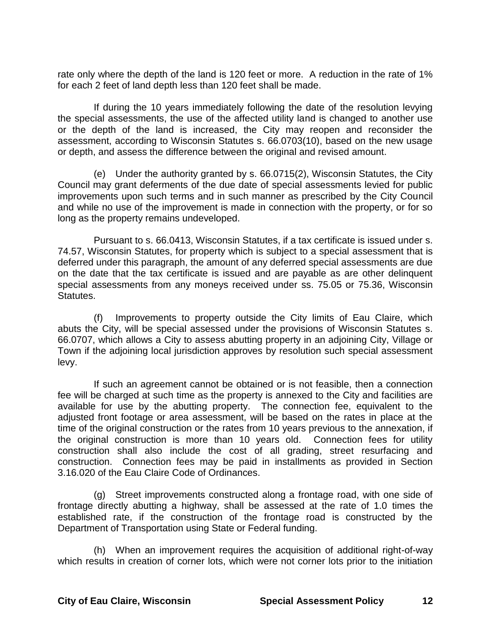rate only where the depth of the land is 120 feet or more. A reduction in the rate of 1% for each 2 feet of land depth less than 120 feet shall be made.

If during the 10 years immediately following the date of the resolution levying the special assessments, the use of the affected utility land is changed to another use or the depth of the land is increased, the City may reopen and reconsider the assessment, according to Wisconsin Statutes s. 66.0703(10), based on the new usage or depth, and assess the difference between the original and revised amount.

(e) Under the authority granted by s. 66.0715(2), Wisconsin Statutes, the City Council may grant deferments of the due date of special assessments levied for public improvements upon such terms and in such manner as prescribed by the City Council and while no use of the improvement is made in connection with the property, or for so long as the property remains undeveloped.

Pursuant to s. 66.0413, Wisconsin Statutes, if a tax certificate is issued under s. 74.57, Wisconsin Statutes, for property which is subject to a special assessment that is deferred under this paragraph, the amount of any deferred special assessments are due on the date that the tax certificate is issued and are payable as are other delinquent special assessments from any moneys received under ss. 75.05 or 75.36, Wisconsin Statutes.

(f) Improvements to property outside the City limits of Eau Claire, which abuts the City, will be special assessed under the provisions of Wisconsin Statutes s. 66.0707, which allows a City to assess abutting property in an adjoining City, Village or Town if the adjoining local jurisdiction approves by resolution such special assessment levy.

If such an agreement cannot be obtained or is not feasible, then a connection fee will be charged at such time as the property is annexed to the City and facilities are available for use by the abutting property. The connection fee, equivalent to the adjusted front footage or area assessment, will be based on the rates in place at the time of the original construction or the rates from 10 years previous to the annexation, if the original construction is more than 10 years old. Connection fees for utility construction shall also include the cost of all grading, street resurfacing and construction. Connection fees may be paid in installments as provided in Section 3.16.020 of the Eau Claire Code of Ordinances.

(g) Street improvements constructed along a frontage road, with one side of frontage directly abutting a highway, shall be assessed at the rate of 1.0 times the established rate, if the construction of the frontage road is constructed by the Department of Transportation using State or Federal funding.

(h) When an improvement requires the acquisition of additional right-of-way which results in creation of corner lots, which were not corner lots prior to the initiation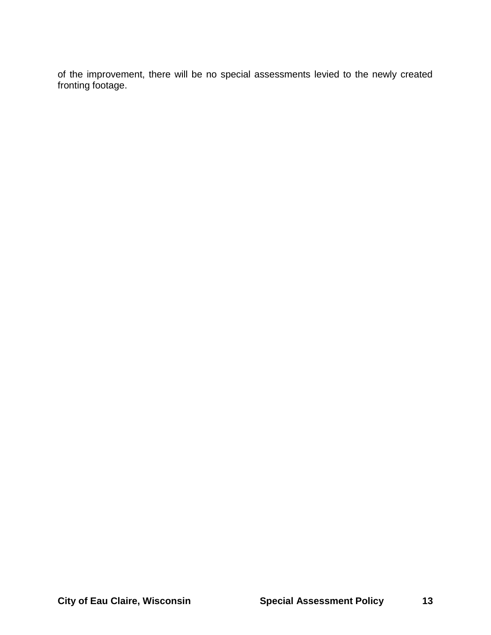of the improvement, there will be no special assessments levied to the newly created fronting footage.